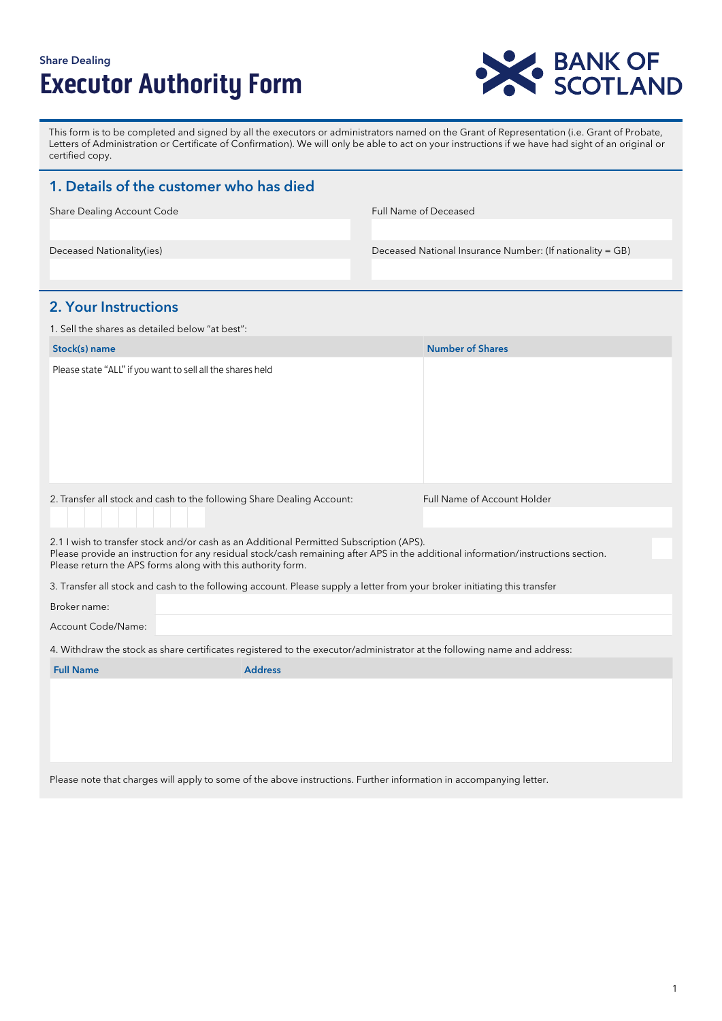# Share Dealing **Executor Authority Form**



This form is to be completed and signed by all the executors or administrators named on the Grant of Representation (i.e. Grant of Probate, Letters of Administration or Certificate of Confirmation). We will only be able to act on your instructions if we have had sight of an original or certified copy.

| 1. Details of the customer who has died                                                                                                                                                                                                                                                     |                |                       |                                                           |  |
|---------------------------------------------------------------------------------------------------------------------------------------------------------------------------------------------------------------------------------------------------------------------------------------------|----------------|-----------------------|-----------------------------------------------------------|--|
| Share Dealing Account Code                                                                                                                                                                                                                                                                  |                | Full Name of Deceased |                                                           |  |
|                                                                                                                                                                                                                                                                                             |                |                       |                                                           |  |
| Deceased Nationality(ies)                                                                                                                                                                                                                                                                   |                |                       | Deceased National Insurance Number: (If nationality = GB) |  |
|                                                                                                                                                                                                                                                                                             |                |                       |                                                           |  |
| <b>2. Your Instructions</b>                                                                                                                                                                                                                                                                 |                |                       |                                                           |  |
| 1. Sell the shares as detailed below "at best":                                                                                                                                                                                                                                             |                |                       |                                                           |  |
| Stock(s) name                                                                                                                                                                                                                                                                               |                |                       | <b>Number of Shares</b>                                   |  |
| Please state "ALL" if you want to sell all the shares held                                                                                                                                                                                                                                  |                |                       |                                                           |  |
| 2. Transfer all stock and cash to the following Share Dealing Account:                                                                                                                                                                                                                      |                |                       | Full Name of Account Holder                               |  |
|                                                                                                                                                                                                                                                                                             |                |                       |                                                           |  |
| 2.1 I wish to transfer stock and/or cash as an Additional Permitted Subscription (APS).<br>Please provide an instruction for any residual stock/cash remaining after APS in the additional information/instructions section.<br>Please return the APS forms along with this authority form. |                |                       |                                                           |  |
| 3. Transfer all stock and cash to the following account. Please supply a letter from your broker initiating this transfer                                                                                                                                                                   |                |                       |                                                           |  |
| Broker name:                                                                                                                                                                                                                                                                                |                |                       |                                                           |  |
| Account Code/Name:                                                                                                                                                                                                                                                                          |                |                       |                                                           |  |
| 4. Withdraw the stock as share certificates registered to the executor/administrator at the following name and address:                                                                                                                                                                     |                |                       |                                                           |  |
| <b>Full Name</b>                                                                                                                                                                                                                                                                            | <b>Address</b> |                       |                                                           |  |
|                                                                                                                                                                                                                                                                                             |                |                       |                                                           |  |

Please note that charges will apply to some of the above instructions. Further information in accompanying letter.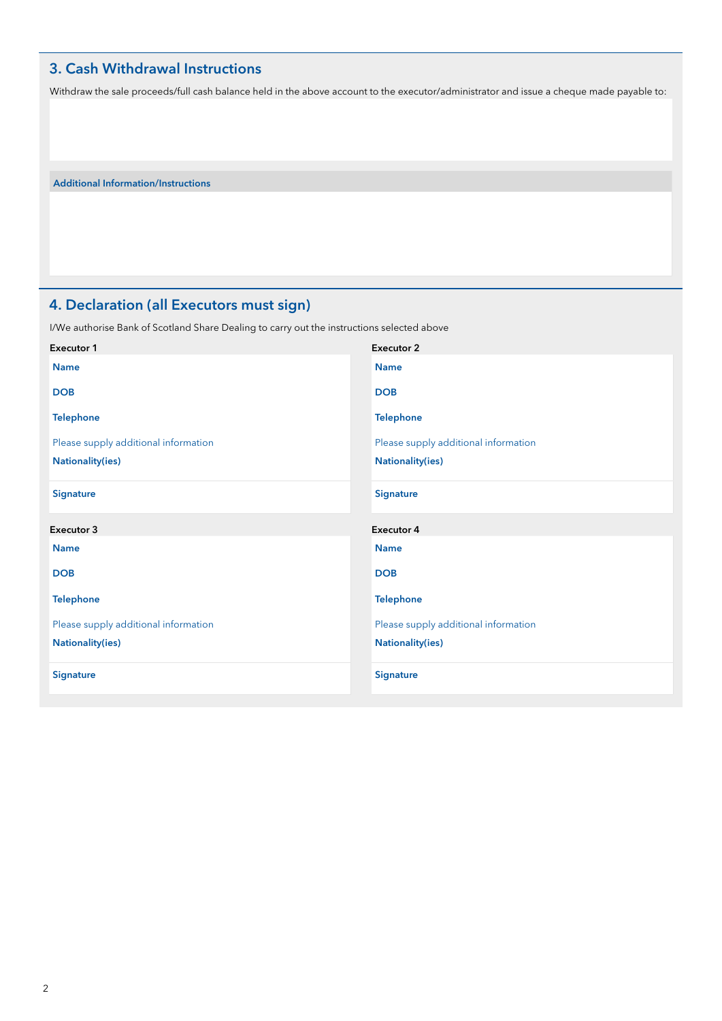### 3. Cash Withdrawal Instructions

Withdraw the sale proceeds/full cash balance held in the above account to the executor/administrator and issue a cheque made payable to:

Additional Information/Instructions

## 4. Declaration (all Executors must sign)

I/We authorise Bank of Scotland Share Dealing to carry out the instructions selected above

| <b>Executor 1</b>                    | <b>Executor 2</b>                    |
|--------------------------------------|--------------------------------------|
| <b>Name</b>                          | <b>Name</b>                          |
| <b>DOB</b>                           | <b>DOB</b>                           |
| <b>Telephone</b>                     | <b>Telephone</b>                     |
| Please supply additional information | Please supply additional information |
| <b>Nationality(ies)</b>              | <b>Nationality(ies)</b>              |
| <b>Signature</b>                     | <b>Signature</b>                     |
|                                      |                                      |
| Executor 3                           | <b>Executor 4</b>                    |
| <b>Name</b>                          | <b>Name</b>                          |
| <b>DOB</b>                           | <b>DOB</b>                           |
| <b>Telephone</b>                     | <b>Telephone</b>                     |
| Please supply additional information | Please supply additional information |
| <b>Nationality(ies)</b>              | <b>Nationality(ies)</b>              |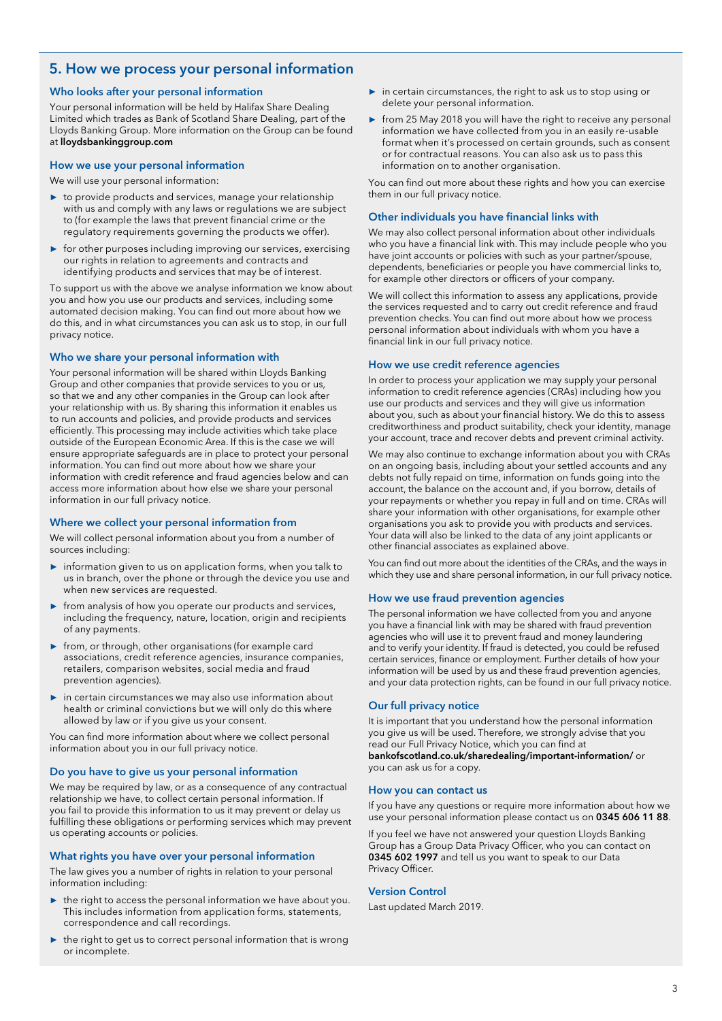### 5. How we process your personal information

#### Who looks after your personal information

Your personal information will be held by Halifax Share Dealing Limited which trades as Bank of Scotland Share Dealing, part of the Lloyds Banking Group. More information on the Group can be found at lloydsbankinggroup.com

#### How we use your personal information

We will use your personal information:

- **►** to provide products and services, manage your relationship with us and comply with any laws or regulations we are subject to (for example the laws that prevent financial crime or the regulatory requirements governing the products we offer).
- **►** for other purposes including improving our services, exercising our rights in relation to agreements and contracts and identifying products and services that may be of interest.

To support us with the above we analyse information we know about you and how you use our products and services, including some automated decision making. You can find out more about how we do this, and in what circumstances you can ask us to stop, in our full privacy notice.

#### Who we share your personal information with

Your personal information will be shared within Lloyds Banking Group and other companies that provide services to you or us, so that we and any other companies in the Group can look after your relationship with us. By sharing this information it enables us to run accounts and policies, and provide products and services efficiently. This processing may include activities which take place outside of the European Economic Area. If this is the case we will ensure appropriate safeguards are in place to protect your personal information. You can find out more about how we share your information with credit reference and fraud agencies below and can access more information about how else we share your personal information in our full privacy notice.

#### Where we collect your personal information from

We will collect personal information about you from a number of sources including:

- **►** information given to us on application forms, when you talk to us in branch, over the phone or through the device you use and when new services are requested.
- **►** from analysis of how you operate our products and services, including the frequency, nature, location, origin and recipients of any payments.
- **►** from, or through, other organisations (for example card associations, credit reference agencies, insurance companies, retailers, comparison websites, social media and fraud prevention agencies).
- **►** in certain circumstances we may also use information about health or criminal convictions but we will only do this where allowed by law or if you give us your consent.

You can find more information about where we collect personal information about you in our full privacy notice.

#### Do you have to give us your personal information

We may be required by law, or as a consequence of any contractual relationship we have, to collect certain personal information. If you fail to provide this information to us it may prevent or delay us fulfilling these obligations or performing services which may prevent us operating accounts or policies.

#### What rights you have over your personal information

The law gives you a number of rights in relation to your personal information including:

- **►** the right to access the personal information we have about you. This includes information from application forms, statements, correspondence and call recordings.
- **►** the right to get us to correct personal information that is wrong or incomplete.
- **►** in certain circumstances, the right to ask us to stop using or delete your personal information.
- ► from 25 May 2018 you will have the right to receive any personal information we have collected from you in an easily re-usable format when it's processed on certain grounds, such as consent or for contractual reasons. You can also ask us to pass this information on to another organisation.

You can find out more about these rights and how you can exercise them in our full privacy notice.

#### Other individuals you have financial links with

We may also collect personal information about other individuals who you have a financial link with. This may include people who you have joint accounts or policies with such as your partner/spouse, dependents, beneficiaries or people you have commercial links to, for example other directors or officers of your company.

We will collect this information to assess any applications, provide the services requested and to carry out credit reference and fraud prevention checks. You can find out more about how we process personal information about individuals with whom you have a financial link in our full privacy notice.

#### How we use credit reference agencies

In order to process your application we may supply your personal information to credit reference agencies (CRAs) including how you use our products and services and they will give us information about you, such as about your financial history. We do this to assess creditworthiness and product suitability, check your identity, manage your account, trace and recover debts and prevent criminal activity.

We may also continue to exchange information about you with CRAs on an ongoing basis, including about your settled accounts and any debts not fully repaid on time, information on funds going into the account, the balance on the account and, if you borrow, details of your repayments or whether you repay in full and on time. CRAs will share your information with other organisations, for example other organisations you ask to provide you with products and services. Your data will also be linked to the data of any joint applicants or other financial associates as explained above.

You can find out more about the identities of the CRAs, and the ways in which they use and share personal information, in our full privacy notice.

#### How we use fraud prevention agencies

The personal information we have collected from you and anyone you have a financial link with may be shared with fraud prevention agencies who will use it to prevent fraud and money laundering and to verify your identity. If fraud is detected, you could be refused certain services, finance or employment. Further details of how your information will be used by us and these fraud prevention agencies, and your data protection rights, can be found in our full privacy notice.

#### Our full privacy notice

It is important that you understand how the personal information you give us will be used. Therefore, we strongly advise that you read our Full Privacy Notice, which you can find at bankofscotland.co.uk/sharedealing/important-information/ or you can ask us for a copy.

#### How you can contact us

If you have any questions or require more information about how we use your personal information please contact us on 0345 606 11 88.

If you feel we have not answered your question Lloyds Banking Group has a Group Data Privacy Officer, who you can contact on 0345 602 1997 and tell us you want to speak to our Data Privacy Officer.

#### Version Control

Last updated March 2019.